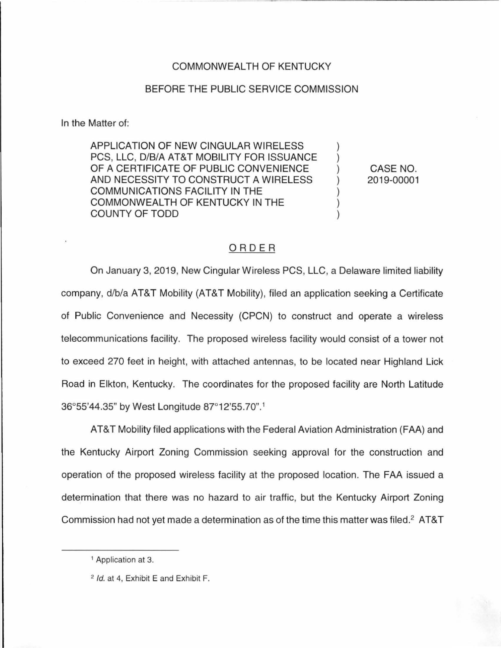## COMMONWEALTH OF KENTUCKY

## BEFORE THE PUBLIC SERVICE COMMISSION

In the Matter of:

APPLICATION OF NEW CINGULAR WIRELESS PCS, LLC, D/B/A AT&T MOBILITY FOR ISSUANCE OF A CERTIFICATE OF PUBLIC CONVENIENCE AND NECESSITY TO CONSTRUCT A WIRELESS COMMUNICATIONS FACILITY IN THE COMMONWEALTH OF KENTUCKY IN THE COUNTY OF TODD

CASE NO. 2019-00001

## ORDER

On January 3, 2019, New Cingular Wireless PCS, LLC, a Delaware limited liability company, d/b/a AT&T Mobility (AT&T Mobility), filed an application seeking a Certificate of Public Convenience and Necessity (CPCN) to construct and operate a wireless telecommunications facility. The proposed wireless facility would consist of a tower not to exceed 270 feet in height, with attached antennas, to be located near Highland Lick Road in Elkton, Kentucky. The coordinates for the proposed facility are North Latitude 36°55'44.35" by West Longitude 87°12'55.70". <sup>1</sup>

AT&T Mobility filed applications with the Federal Aviation Administration (FAA) and the Kentucky Airport Zoning Commission seeking approval for the construction and operation of the proposed wireless facility at the proposed location. The FAA issued a determination that there was no hazard to air traffic, but the Kentucky Airport Zoning Commission had not yet made a determination as of the time this matter was filed.<sup>2</sup> AT&T

<sup>&</sup>lt;sup>1</sup> Application at 3.

<sup>2</sup> Id. at 4, Exhibit E and Exhibit F.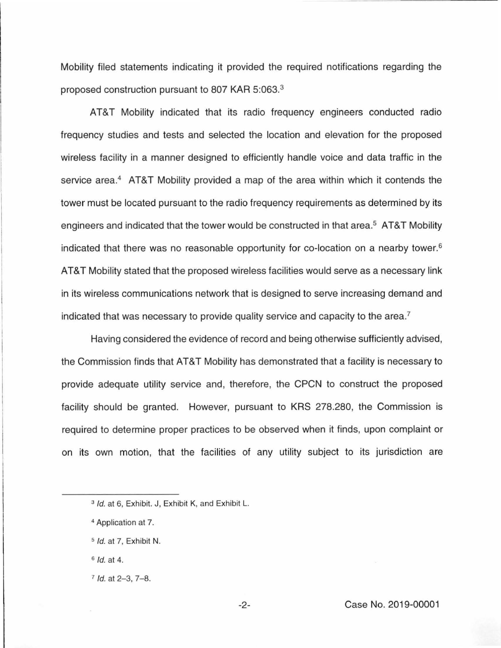Mobility filed statements indicating it provided the required notifications regarding the proposed construction pursuant to 807 KAR 5:063. 3

AT&T Mobility indicated that its radio frequency engineers conducted radio frequency studies and tests and selected the location and elevation for the proposed wireless facility in a manner designed to efficiently handle voice and data traffic in the service area.<sup>4</sup> AT&T Mobility provided a map of the area within which it contends the tower must be located pursuant to the radio frequency requirements as determined by its engineers and indicated that the tower would be constructed in that area.<sup>5</sup> AT&T Mobility indicated that there was no reasonable opportunity for co-location on a nearby tower. 6 AT&T Mobility stated that the proposed wireless facilities would serve as a necessary link in its wireless communications network that is designed to serve increasing demand and indicated that was necessary to provide quality service and capacity to the area.7

Having considered the evidence of record and being otherwise sufficiently advised, the Commission finds that AT&T Mobility has demonstrated that a facility is necessary to provide adequate utility service and, therefore, the CPCN to construct the proposed facility should be granted. However, pursuant to KRS 278.280, the Commission is required to determine proper practices to be observed when it finds, upon complaint or on its own motion, that the facilities of any utility subject to its jurisdiction are

<sup>&</sup>lt;sup>3</sup> Id. at 6, Exhibit. J, Exhibit K, and Exhibit L.

<sup>&</sup>lt;sup>4</sup> Application at 7.

s Id. at 7, Exhibit N.

 $6$  *Id.* at 4.

 $7$  Id. at  $2-3$ ,  $7-8$ .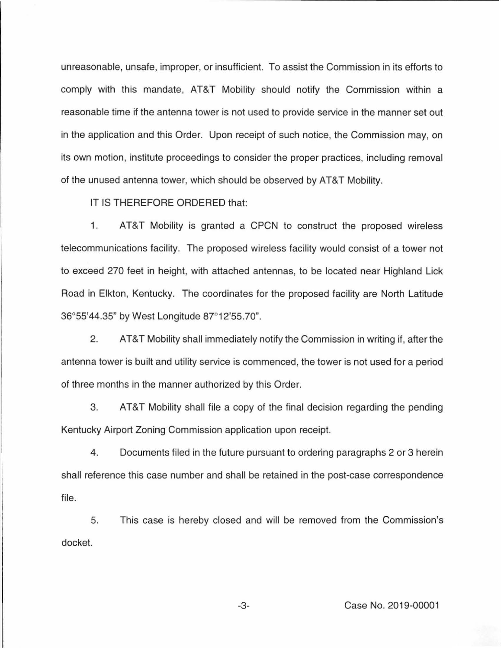unreasonable, unsafe, improper, or insufficient. To assist the Commission in its efforts to comply with this mandate, AT&T Mobility should notify the Commission within a reasonable time if the antenna tower is not used to provide service in the manner set out in the application and this Order. Upon receipt of such notice, the Commission may, on its own motion, institute proceedings to consider the proper practices, including removal of the unused antenna tower, which should be observed by AT&T Mobility.

IT IS THEREFORE ORDERED that:

1. AT&T Mobility is granted a CPCN to construct the proposed wireless telecommunications facility. The proposed wireless facility would consist of a tower not to exceed 270 feet in height, with attached antennas, to be located near Highland Lick Road in Elkton, Kentucky. The coordinates for the proposed facility are North Latitude 36°55'44.35" by West Longitude 87°12'55.70".

2. AT&T Mobility shall immediately notify the Commission in writing if, after the antenna tower is built and utility service is commenced, the tower is not used for a period of three months in the manner authorized by this Order.

3. AT&T Mobility shall file a copy of the final decision regarding the pending Kentucky Airport Zoning Commission application upon receipt.

4. Documents filed in the future pursuant to ordering paragraphs 2 or 3 herein shall reference this case number and shall be retained in the post-case correspondence file.

5. This case is hereby closed and will be removed from the Commission's docket.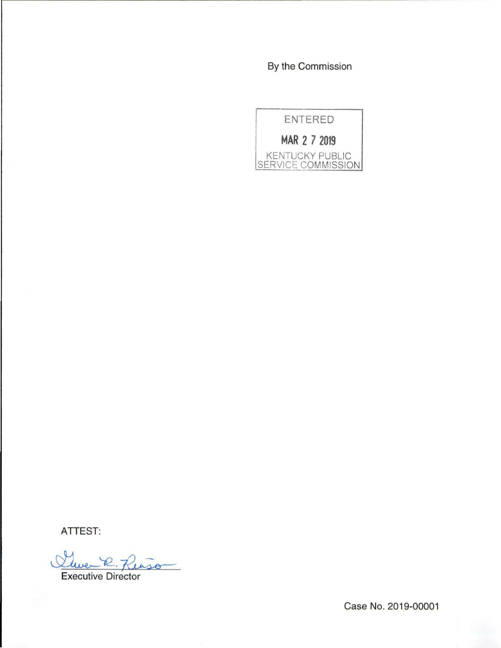By the Commission



ATTEST:

Sleven R  $R<sub>tris</sub>$ 

Executive Director

Case No. 2019-00001